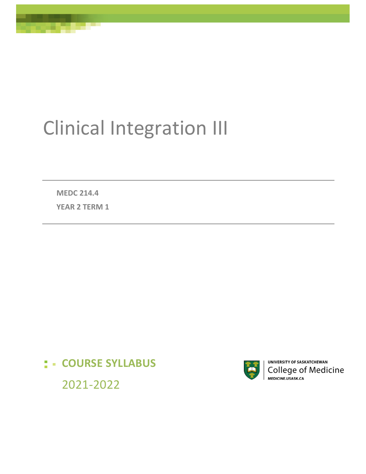# Clinical Integration III

**MEDC 214.4**

**YEAR 2 TERM 1** 

# **: - COURSE SYLLABUS**



UNIVERSITY OF SASKATCHEWAN College of Medicine MEDICINE.USASK.CA

2021-2022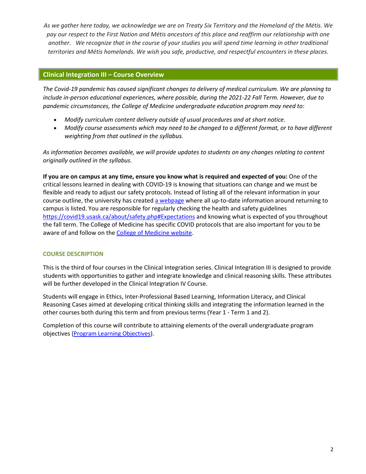*As we gather here today, we acknowledge we are on Treaty Six Territory and the Homeland of the Métis. We pay our respect to the First Nation and Métis ancestors of this place and reaffirm our relationship with one another. We recognize that in the course of your studies you will spend time learning in other traditional territories and Métis homelands. We wish you safe, productive, and respectful encounters in these places.*

# **Clinical Integration III – Course Overview**

*The Covid-19 pandemic has caused significant changes to delivery of medical curriculum. We are planning to include in-person educational experiences, where possible, during the 2021-22 Fall Term. However, due to pandemic circumstances, the College of Medicine undergraduate education program may need to:* 

- *Modify curriculum content delivery outside of usual procedures and at short notice.*
- *Modify course assessments which may need to be changed to a different format, or to have different weighting from that outlined in the syllabus.*

*As information becomes available, we will provide updates to students on any changes relating to content originally outlined in the syllabus.* 

**If you are on campus at any time, ensure you know what is required and expected of you:** One of the critical lessons learned in dealing with COVID-19 is knowing that situations can change and we must be flexible and ready to adjust our safety protocols. Instead of listing all of the relevant information in your course outline, the university has create[d a webpage](https://covid19.usask.ca/students.php#Oncampusessentials) where all up-to-date information around returning to campus is listed. You are responsible for regularly checking the health and safety guidelines <https://covid19.usask.ca/about/safety.php#Expectations>and knowing what is expected of you throughout the fall term. The College of Medicine has specific COVID protocols that are also important for you to be aware of and follow on the [College of Medicine website.](https://medicine.usask.ca/students/covid19.php)

# **COURSE DESCRIPTION**

This is the third of four courses in the Clinical Integration series. Clinical Integration III is designed to provide students with opportunities to gather and integrate knowledge and clinical reasoning skills. These attributes will be further developed in the Clinical Integration IV Course.

Students will engage in Ethics, Inter-Professional Based Learning, Information Literacy, and Clinical Reasoning Cases aimed at developing critical thinking skills and integrating the information learned in the other courses both during this term and from previous terms (Year 1 - Term 1 and 2).

Completion of this course will contribute to attaining elements of the overall undergraduate program objectives [\(Program Learning Objectives\)](https://medicine.usask.ca/documents/ugme/PLOdoc.pdf).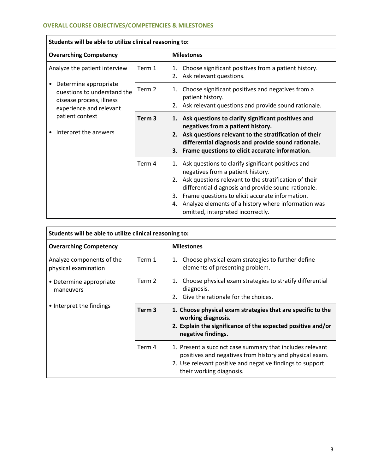| Students will be able to utilize clinical reasoning to:                                                                                                                                                            |                   |                                                                                                                                                                                                                                                                                                                                                                          |
|--------------------------------------------------------------------------------------------------------------------------------------------------------------------------------------------------------------------|-------------------|--------------------------------------------------------------------------------------------------------------------------------------------------------------------------------------------------------------------------------------------------------------------------------------------------------------------------------------------------------------------------|
| <b>Overarching Competency</b>                                                                                                                                                                                      |                   | <b>Milestones</b>                                                                                                                                                                                                                                                                                                                                                        |
| Analyze the patient interview<br>Determine appropriate<br>$\bullet$<br>questions to understand the<br>disease process, illness<br>experience and relevant<br>patient context<br>Interpret the answers<br>$\bullet$ | Term 1            | Choose significant positives from a patient history.<br>1.<br>Ask relevant questions.<br>2.                                                                                                                                                                                                                                                                              |
|                                                                                                                                                                                                                    | Term 2            | Choose significant positives and negatives from a<br>1.<br>patient history.<br>2. Ask relevant questions and provide sound rationale.                                                                                                                                                                                                                                    |
|                                                                                                                                                                                                                    | Term <sub>3</sub> | 1. Ask questions to clarify significant positives and<br>negatives from a patient history.<br>2. Ask questions relevant to the stratification of their<br>differential diagnosis and provide sound rationale.<br>3. Frame questions to elicit accurate information.                                                                                                      |
|                                                                                                                                                                                                                    | Term 4            | Ask questions to clarify significant positives and<br>1.<br>negatives from a patient history.<br>2. Ask questions relevant to the stratification of their<br>differential diagnosis and provide sound rationale.<br>Frame questions to elicit accurate information.<br>3.<br>4. Analyze elements of a history where information was<br>omitted, interpreted incorrectly. |

| Students will be able to utilize clinical reasoning to:          |                   |                                                                                                                                                                                                               |
|------------------------------------------------------------------|-------------------|---------------------------------------------------------------------------------------------------------------------------------------------------------------------------------------------------------------|
| <b>Overarching Competency</b>                                    |                   | <b>Milestones</b>                                                                                                                                                                                             |
| Analyze components of the<br>physical examination                | Term 1            | Choose physical exam strategies to further define<br>1.<br>elements of presenting problem.                                                                                                                    |
| • Determine appropriate<br>maneuvers<br>• Interpret the findings | Term 2            | Choose physical exam strategies to stratify differential<br>1.<br>diagnosis.<br>2. Give the rationale for the choices.                                                                                        |
|                                                                  | Term <sub>3</sub> | 1. Choose physical exam strategies that are specific to the<br>working diagnosis.<br>2. Explain the significance of the expected positive and/or<br>negative findings.                                        |
|                                                                  | Term 4            | 1. Present a succinct case summary that includes relevant<br>positives and negatives from history and physical exam.<br>2. Use relevant positive and negative findings to support<br>their working diagnosis. |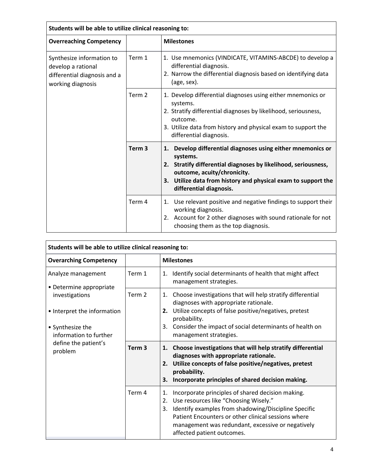| Students will be able to utilize clinical reasoning to:                                              |                   |                                                                                                                                                                                                                                                                         |
|------------------------------------------------------------------------------------------------------|-------------------|-------------------------------------------------------------------------------------------------------------------------------------------------------------------------------------------------------------------------------------------------------------------------|
| <b>Overreaching Competency</b>                                                                       |                   | <b>Milestones</b>                                                                                                                                                                                                                                                       |
| Synthesize information to<br>develop a rational<br>differential diagnosis and a<br>working diagnosis | Term 1            | 1. Use mnemonics (VINDICATE, VITAMINS-ABCDE) to develop a<br>differential diagnosis.<br>2. Narrow the differential diagnosis based on identifying data<br>(age, sex).                                                                                                   |
|                                                                                                      | Term 2            | 1. Develop differential diagnoses using either mnemonics or<br>systems.<br>2. Stratify differential diagnoses by likelihood, seriousness,<br>outcome.<br>3. Utilize data from history and physical exam to support the<br>differential diagnosis.                       |
|                                                                                                      | Term <sub>3</sub> | Develop differential diagnoses using either mnemonics or<br>1.<br>systems.<br>2. Stratify differential diagnoses by likelihood, seriousness,<br>outcome, acuity/chronicity.<br>3. Utilize data from history and physical exam to support the<br>differential diagnosis. |
|                                                                                                      | Term 4            | Use relevant positive and negative findings to support their<br>1.<br>working diagnosis.<br>2. Account for 2 other diagnoses with sound rationale for not<br>choosing them as the top diagnosis.                                                                        |

| Students will be able to utilize clinical reasoning to:                                                                                                                         |                   |                                                                                                                                                                                                                                                                                                                |
|---------------------------------------------------------------------------------------------------------------------------------------------------------------------------------|-------------------|----------------------------------------------------------------------------------------------------------------------------------------------------------------------------------------------------------------------------------------------------------------------------------------------------------------|
| <b>Overarching Competency</b>                                                                                                                                                   |                   | <b>Milestones</b>                                                                                                                                                                                                                                                                                              |
| Analyze management<br>• Determine appropriate<br>investigations<br>• Interpret the information<br>• Synthesize the<br>information to further<br>define the patient's<br>problem | Term 1            | Identify social determinants of health that might affect<br>1.<br>management strategies.                                                                                                                                                                                                                       |
|                                                                                                                                                                                 | Term 2            | Choose investigations that will help stratify differential<br>1.<br>diagnoses with appropriate rationale.<br>Utilize concepts of false positive/negatives, pretest<br>2.<br>probability.<br>Consider the impact of social determinants of health on<br>3.<br>management strategies.                            |
|                                                                                                                                                                                 | Term <sub>3</sub> | Choose investigations that will help stratify differential<br>1.<br>diagnoses with appropriate rationale.<br>2. Utilize concepts of false positive/negatives, pretest<br>probability.<br>Incorporate principles of shared decision making.<br>З.                                                               |
|                                                                                                                                                                                 | Term 4            | Incorporate principles of shared decision making.<br>1.<br>Use resources like "Choosing Wisely."<br>2.<br>Identify examples from shadowing/Discipline Specific<br>3.<br>Patient Encounters or other clinical sessions where<br>management was redundant, excessive or negatively<br>affected patient outcomes. |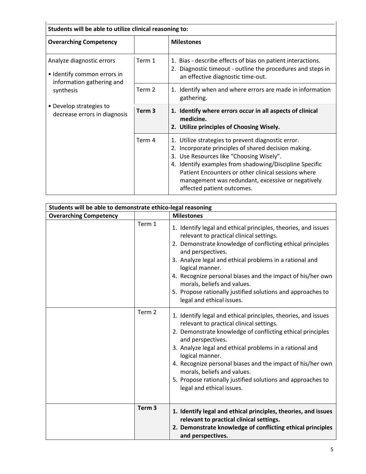| Students will be able to utilize clinical reasoning to:                                                                                                       |                   |                                                                                                                                                                                                                                                                                                                                                             |
|---------------------------------------------------------------------------------------------------------------------------------------------------------------|-------------------|-------------------------------------------------------------------------------------------------------------------------------------------------------------------------------------------------------------------------------------------------------------------------------------------------------------------------------------------------------------|
| <b>Overarching Competency</b>                                                                                                                                 |                   | <b>Milestones</b>                                                                                                                                                                                                                                                                                                                                           |
| Analyze diagnostic errors<br>• Identify common errors in<br>information gathering and<br>synthesis<br>• Develop strategies to<br>decrease errors in diagnosis | Term 1            | 1. Bias - describe effects of bias on patient interactions.<br>2. Diagnostic timeout - outline the procedures and steps in<br>an effective diagnostic time-out.                                                                                                                                                                                             |
|                                                                                                                                                               | Term 2            | 1. Identify when and where errors are made in information<br>gathering.                                                                                                                                                                                                                                                                                     |
|                                                                                                                                                               | Term <sub>3</sub> | 1. Identify where errors occur in all aspects of clinical<br>medicine.<br>2. Utilize principles of Choosing Wisely.                                                                                                                                                                                                                                         |
|                                                                                                                                                               | Term 4            | 1. Utilize strategies to prevent diagnostic error.<br>2. Incorporate principles of shared decision making.<br>3. Use Resources like "Choosing Wisely".<br>4. Identify examples from shadowing/Discipline Specific<br>Patient Encounters or other clinical sessions where<br>management was redundant, excessive or negatively<br>affected patient outcomes. |

| Students will be able to demonstrate ethico-legal reasoning |                   |                                                                                                                                                                                                                                                                                                                                                                                                                                                                      |
|-------------------------------------------------------------|-------------------|----------------------------------------------------------------------------------------------------------------------------------------------------------------------------------------------------------------------------------------------------------------------------------------------------------------------------------------------------------------------------------------------------------------------------------------------------------------------|
| <b>Overarching Competency</b>                               |                   | <b>Milestones</b>                                                                                                                                                                                                                                                                                                                                                                                                                                                    |
|                                                             | Term 1            | 1. Identify legal and ethical principles, theories, and issues<br>relevant to practical clinical settings.<br>2. Demonstrate knowledge of conflicting ethical principles<br>and perspectives.<br>3. Analyze legal and ethical problems in a rational and<br>logical manner.<br>4. Recognize personal biases and the impact of his/her own<br>morals, beliefs and values.<br>5. Propose rationally justified solutions and approaches to<br>legal and ethical issues. |
|                                                             | Term 2            | 1. Identify legal and ethical principles, theories, and issues<br>relevant to practical clinical settings.<br>2. Demonstrate knowledge of conflicting ethical principles<br>and perspectives.<br>3. Analyze legal and ethical problems in a rational and<br>logical manner.<br>4. Recognize personal biases and the impact of his/her own<br>morals, beliefs and values.<br>5. Propose rationally justified solutions and approaches to<br>legal and ethical issues. |
|                                                             | Term <sub>3</sub> | 1. Identify legal and ethical principles, theories, and issues<br>relevant to practical clinical settings.<br>2. Demonstrate knowledge of conflicting ethical principles<br>and perspectives.                                                                                                                                                                                                                                                                        |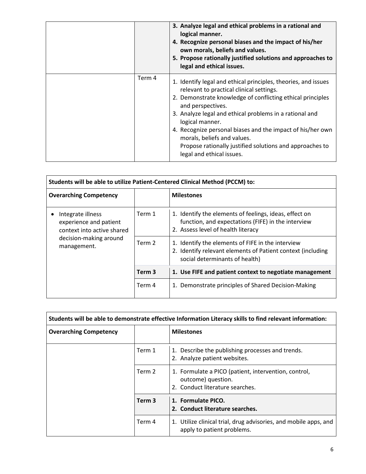|        | 3. Analyze legal and ethical problems in a rational and<br>logical manner.<br>4. Recognize personal biases and the impact of his/her<br>own morals, beliefs and values.<br>5. Propose rationally justified solutions and approaches to<br>legal and ethical issues.                                                                                                                                                                                               |
|--------|-------------------------------------------------------------------------------------------------------------------------------------------------------------------------------------------------------------------------------------------------------------------------------------------------------------------------------------------------------------------------------------------------------------------------------------------------------------------|
| Term 4 | 1. Identify legal and ethical principles, theories, and issues<br>relevant to practical clinical settings.<br>2. Demonstrate knowledge of conflicting ethical principles<br>and perspectives.<br>3. Analyze legal and ethical problems in a rational and<br>logical manner.<br>4. Recognize personal biases and the impact of his/her own<br>morals, beliefs and values.<br>Propose rationally justified solutions and approaches to<br>legal and ethical issues. |

| Students will be able to utilize Patient-Centered Clinical Method (PCCM) to:                                       |                   |                                                                                                                                                    |
|--------------------------------------------------------------------------------------------------------------------|-------------------|----------------------------------------------------------------------------------------------------------------------------------------------------|
| <b>Overarching Competency</b>                                                                                      |                   | <b>Milestones</b>                                                                                                                                  |
| Integrate illness<br>experience and patient<br>context into active shared<br>decision-making around<br>management. | Term 1            | 1. Identify the elements of feelings, ideas, effect on<br>function, and expectations (FIFE) in the interview<br>2. Assess level of health literacy |
|                                                                                                                    | Term 2            | 1. Identify the elements of FIFE in the interview<br>2. Identify relevant elements of Patient context (including<br>social determinants of health) |
|                                                                                                                    | Term <sub>3</sub> | 1. Use FIFE and patient context to negotiate management                                                                                            |
|                                                                                                                    | Term 4            | Demonstrate principles of Shared Decision-Making<br>1.                                                                                             |

| Students will be able to demonstrate effective Information Literacy skills to find relevant information: |                   |                                                                                                               |
|----------------------------------------------------------------------------------------------------------|-------------------|---------------------------------------------------------------------------------------------------------------|
| <b>Overarching Competency</b>                                                                            |                   | <b>Milestones</b>                                                                                             |
|                                                                                                          | Term 1            | Describe the publishing processes and trends.<br>1.<br>2. Analyze patient websites.                           |
|                                                                                                          | Term 2            | 1. Formulate a PICO (patient, intervention, control,<br>outcome) question.<br>2. Conduct literature searches. |
|                                                                                                          | Term <sub>3</sub> | 1. Formulate PICO.<br>2. Conduct literature searches.                                                         |
|                                                                                                          | Term 4            | Utilize clinical trial, drug advisories, and mobile apps, and<br>1.<br>apply to patient problems.             |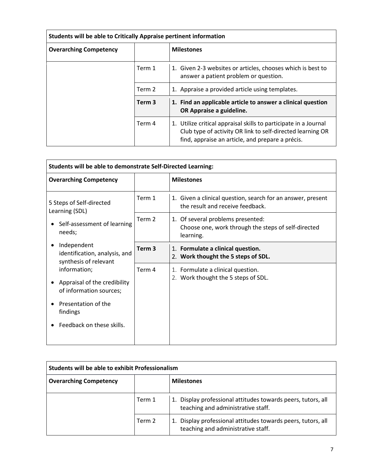| Students will be able to Critically Appraise pertinent information |                   |                                                                                                                                                                                    |
|--------------------------------------------------------------------|-------------------|------------------------------------------------------------------------------------------------------------------------------------------------------------------------------------|
| <b>Overarching Competency</b>                                      |                   | <b>Milestones</b>                                                                                                                                                                  |
|                                                                    | Term 1            | 1. Given 2-3 websites or articles, chooses which is best to<br>answer a patient problem or question.                                                                               |
|                                                                    | Term 2            | 1. Appraise a provided article using templates.                                                                                                                                    |
|                                                                    | Term <sub>3</sub> | 1. Find an applicable article to answer a clinical question<br>OR Appraise a guideline.                                                                                            |
|                                                                    | Term 4            | 1. Utilize critical appraisal skills to participate in a Journal<br>Club type of activity OR link to self-directed learning OR<br>find, appraise an article, and prepare a précis. |

| Students will be able to demonstrate Self-Directed Learning:            |                   |                                                                                                       |
|-------------------------------------------------------------------------|-------------------|-------------------------------------------------------------------------------------------------------|
| <b>Overarching Competency</b>                                           |                   | <b>Milestones</b>                                                                                     |
| 5 Steps of Self-directed<br>Learning (SDL)                              | Term 1            | 1. Given a clinical question, search for an answer, present<br>the result and receive feedback.       |
| Self-assessment of learning<br>needs;                                   | Term 2            | 1. Of several problems presented:<br>Choose one, work through the steps of self-directed<br>learning. |
| Independent<br>identification, analysis, and<br>synthesis of relevant   | Term <sub>3</sub> | 1. Formulate a clinical question.<br>2. Work thought the 5 steps of SDL.                              |
| information;<br>Appraisal of the credibility<br>of information sources; | Term 4            | 1. Formulate a clinical question.<br>2. Work thought the 5 steps of SDL.                              |
| Presentation of the<br>findings                                         |                   |                                                                                                       |
| Feedback on these skills.                                               |                   |                                                                                                       |

| Students will be able to exhibit Professionalism |        |                                                                                                       |
|--------------------------------------------------|--------|-------------------------------------------------------------------------------------------------------|
| <b>Overarching Competency</b>                    |        | <b>Milestones</b>                                                                                     |
|                                                  | Term 1 | Display professional attitudes towards peers, tutors, all<br>1.<br>teaching and administrative staff. |
|                                                  | Term 2 | Display professional attitudes towards peers, tutors, all<br>teaching and administrative staff.       |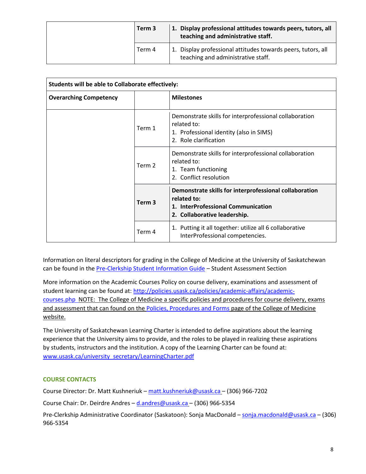|  | Term 3 | 1. Display professional attitudes towards peers, tutors, all<br>teaching and administrative staff. |
|--|--------|----------------------------------------------------------------------------------------------------|
|  | Term 4 | 1. Display professional attitudes towards peers, tutors, all<br>teaching and administrative staff. |

| Students will be able to Collaborate effectively: |                   |                                                                                                                                             |  |
|---------------------------------------------------|-------------------|---------------------------------------------------------------------------------------------------------------------------------------------|--|
| <b>Overarching Competency</b>                     |                   | <b>Milestones</b>                                                                                                                           |  |
|                                                   | Term 1            | Demonstrate skills for interprofessional collaboration<br>related to:<br>1. Professional identity (also in SIMS)<br>2. Role clarification   |  |
|                                                   | Term 2            | Demonstrate skills for interprofessional collaboration<br>related to:<br>1. Team functioning<br>2. Conflict resolution                      |  |
|                                                   | Term <sub>3</sub> | Demonstrate skills for interprofessional collaboration<br>related to:<br>1. InterProfessional Communication<br>2. Collaborative leadership. |  |
|                                                   | Term 4            | Putting it all together: utilize all 6 collaborative<br>1.<br>InterProfessional competencies.                                               |  |

Information on literal descriptors for grading in the College of Medicine at the University of Saskatchewan can be found in the [Pre-Clerkship Student Information Guide](https://medicine.usask.ca/documents/ugme/syllabi/student-guide-to-pre-clerkship.pdf) – Student Assessment Section

More information on the Academic Courses Policy on course delivery, examinations and assessment of student learning can be found at: [http://policies.usask.ca/policies/academic-affairs/academic](http://policies.usask.ca/policies/academic-affairs/academic-courses.php)[courses.php](http://policies.usask.ca/policies/academic-affairs/academic-courses.php) NOTE: The College of Medicine a specific policies and procedures for course delivery, exams and assessment that can found on the [Policies, Procedures and Forms](https://medicine.usask.ca/students/undergraduate/policies.php) page of the College of Medicine website.

The University of Saskatchewan Learning Charter is intended to define aspirations about the learning experience that the University aims to provide, and the roles to be played in realizing these aspirations by students, instructors and the institution. A copy of the Learning Charter can be found at: [www.usask.ca/university\\_secretary/LearningCharter.pdf](http://www.usask.ca/university_secretary/LearningCharter.pdf)

# **COURSE CONTACTS**

Course Director: Dr. Matt Kushneriuk – [matt.kushneriuk@usask.ca](mailto:matt.kushneriuk@usask.ca) – (306) 966-7202

Course Chair: Dr. Deirdre Andres – [d.andres@usask.ca](mailto:d.andres@usask.ca) – (306) 966-5354

Pre-Clerkship Administrative Coordinator (Saskatoon): Sonja MacDonald – [sonja.macdonald@usask.ca](mailto:sonja.macdonald@usask.ca) – (306) 966-5354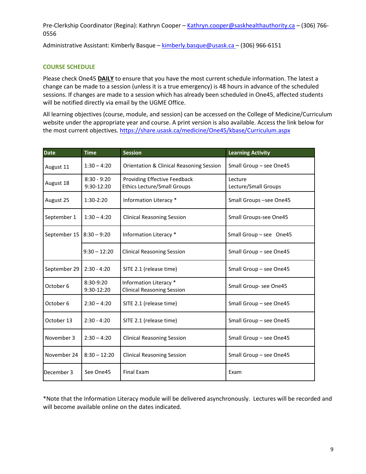Pre-Clerkship Coordinator (Regina): Kathryn Cooper – [Kathryn.cooper@saskhealthauthority.ca](mailto:Kathryn.cooper@saskhealthauthority.ca) – (306) 766-0556

Administrative Assistant: Kimberly Basque – [kimberly.basque@usask.ca](mailto:kimberly.basque@usask.ca) – (306) 966-6151

# **COURSE SCHEDULE**

Please check One45 **DAILY** to ensure that you have the most current schedule information. The latest a change can be made to a session (unless it is a true emergency) is 48 hours in advance of the scheduled sessions. If changes are made to a session which has already been scheduled in One45, affected students will be notified directly via email by the UGME Office.

All learning objectives (course, module, and session) can be accessed on the College of Medicine/Curriculum website under the appropriate year and course. A print version is also available. Access the link below for the most current objectives[. https://share.usask.ca/medicine/One45/kbase/Curriculum.aspx](https://share.usask.ca/medicine/one45/kbase/Curriculum.aspx)

| <b>Date</b>                                                                                           | <b>Time</b>    | <b>Session</b>                                                     | <b>Learning Activity</b>        |
|-------------------------------------------------------------------------------------------------------|----------------|--------------------------------------------------------------------|---------------------------------|
| August 11                                                                                             | $1:30 - 4:20$  | Orientation & Clinical Reasoning Session                           | Small Group - see One45         |
| $8:30 - 9:20$<br>August 18<br>9:30-12:20                                                              |                | Providing Effective Feedback<br><b>Ethics Lecture/Small Groups</b> | Lecture<br>Lecture/Small Groups |
| August 25                                                                                             | $1:30-2:20$    | Information Literacy *                                             | Small Groups-see One45          |
| September 1                                                                                           | $1:30 - 4:20$  | <b>Clinical Reasoning Session</b>                                  | Small Groups-see One45          |
| September 15                                                                                          | $8:30 - 9:20$  | Information Literacy *                                             | Small Group - see One45         |
|                                                                                                       | $9:30 - 12:20$ | <b>Clinical Reasoning Session</b>                                  | Small Group - see One45         |
| September 29<br>$2:30 - 4:20$<br>SITE 2.1 (release time)                                              |                | Small Group - see One45                                            |                                 |
| Information Literacy *<br>$8:30-9:20$<br>October 6<br>9:30-12:20<br><b>Clinical Reasoning Session</b> |                |                                                                    | Small Group- see One45          |
| $2:30 - 4:20$<br>October 6                                                                            |                | SITE 2.1 (release time)                                            | Small Group - see One45         |
| October 13<br>$2:30 - 4:20$                                                                           |                | SITE 2.1 (release time)                                            | Small Group - see One45         |
| November 3<br>$2:30 - 4:20$                                                                           |                | <b>Clinical Reasoning Session</b>                                  | Small Group - see One45         |
| November 24<br>$8:30 - 12:20$                                                                         |                | <b>Clinical Reasoning Session</b>                                  | Small Group - see One45         |
| December 3<br><b>Final Exam</b><br>See One45                                                          |                | Exam                                                               |                                 |

\*Note that the Information Literacy module will be delivered asynchronously. Lectures will be recorded and will become available online on the dates indicated.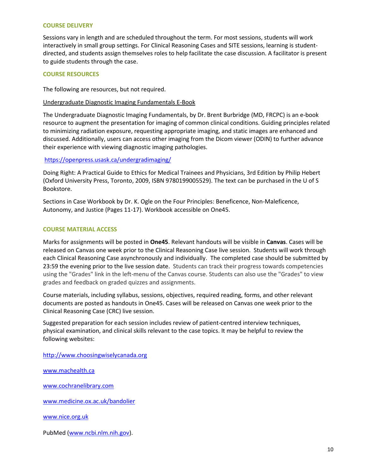#### **COURSE DELIVERY**

Sessions vary in length and are scheduled throughout the term. For most sessions, students will work interactively in small group settings. For Clinical Reasoning Cases and SITE sessions, learning is studentdirected, and students assign themselves roles to help facilitate the case discussion. A facilitator is present to guide students through the case.

# **COURSE RESOURCES**

The following are resources, but not required.

#### Undergraduate Diagnostic Imaging Fundamentals E-Book

The Undergraduate Diagnostic Imaging Fundamentals, by Dr. Brent Burbridge (MD, FRCPC) is an e-book resource to augment the presentation for imaging of common clinical conditions. Guiding principles related to minimizing radiation exposure, requesting appropriate imaging, and static images are enhanced and discussed. Additionally, users can access other imaging from the Dicom viewer (ODIN) to further advance their experience with viewing diagnostic imaging pathologies.

#### <https://openpress.usask.ca/undergradimaging/>

Doing Right: A Practical Guide to Ethics for Medical Trainees and Physicians, 3rd Edition by Philip Hebert (Oxford University Press, Toronto, 2009, ISBN 9780199005529). The text can be purchased in the U of S Bookstore.

Sections in Case Workbook by Dr. K. Ogle on the Four Principles: Beneficence, Non-Maleficence, Autonomy, and Justice (Pages 11-17). Workbook accessible on One45.

#### **COURSE MATERIAL ACCESS**

Marks for assignments will be posted in **One45**. Relevant handouts will be visible in **Canvas**. Cases will be released on Canvas one week prior to the Clinical Reasoning Case live session. Students will work through each Clinical Reasoning Case asynchronously and individually. The completed case should be submitted by 23:59 the evening prior to the live session date. Students can track their progress towards competencies using the "Grades" link in the left-menu of the Canvas course. Students can also use the "Grades" to view grades and feedback on graded quizzes and assignments.

Course materials, including syllabus, sessions, objectives, required reading, forms, and other relevant documents are posted as handouts in One45. Cases will be released on Canvas one week prior to the Clinical Reasoning Case (CRC) live session.

Suggested preparation for each session includes review of patient-centred interview techniques, physical examination, and clinical skills relevant to the case topics. It may be helpful to review the following websites:

http://www.choosingwiselycanada.org

www.machealth.ca

[www.cochranelibrary.com](http://www.cochranelibrary.com/) 

[www.medicine.ox.ac.uk/bandolier](http://www.medicine.ox.ac.uk/bandolier) 

[www.nice.org.uk](http://www.nice.org.uk/) 

PubMed [\(www.ncbi.nlm.nih.gov\)](http://www.ncbi.nlm.nih.gov/).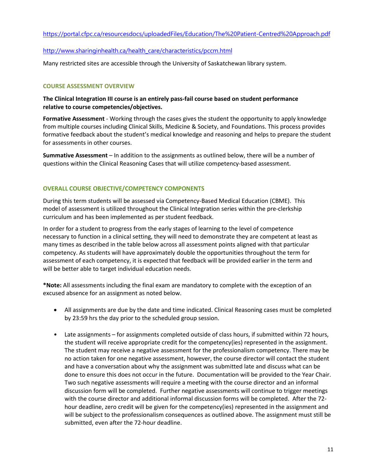<https://portal.cfpc.ca/resourcesdocs/uploadedFiles/Education/The%20Patient-Centred%20Approach.pdf>

# [http://www.sharinginhealth.ca/health\\_care/characteristics/pccm.html](http://www.sharinginhealth.ca/health_care/characteristics/pccm.html)

Many restricted sites are accessible through the University of Saskatchewan library system.

# **COURSE ASSESSMENT OVERVIEW**

# **The Clinical Integration III course is an entirely pass-fail course based on student performance relative to course competencies/objectives.**

**Formative Assessment** - Working through the cases gives the student the opportunity to apply knowledge from multiple courses including Clinical Skills, Medicine & Society, and Foundations. This process provides formative feedback about the student's medical knowledge and reasoning and helps to prepare the student for assessments in other courses.

**Summative Assessment** – In addition to the assignments as outlined below, there will be a number of questions within the Clinical Reasoning Cases that will utilize competency-based assessment.

#### **OVERALL COURSE OBJECTIVE/COMPETENCY COMPONENTS**

During this term students will be assessed via Competency-Based Medical Education (CBME). This model of assessment is utilized throughout the Clinical Integration series within the pre-clerkship curriculum and has been implemented as per student feedback.

In order for a student to progress from the early stages of learning to the level of competence necessary to function in a clinical setting, they will need to demonstrate they are competent at least as many times as described in the table below across all assessment points aligned with that particular competency. As students will have approximately double the opportunities throughout the term for assessment of each competency, it is expected that feedback will be provided earlier in the term and will be better able to target individual education needs.

**\*Note:** All assessments including the final exam are mandatory to complete with the exception of an excused absence for an assignment as noted below.

- All assignments are due by the date and time indicated. Clinical Reasoning cases must be completed by 23:59 hrs the day prior to the scheduled group session.
- Late assignments for assignments completed outside of class hours, if submitted within 72 hours, the student will receive appropriate credit for the competency(ies) represented in the assignment. The student may receive a negative assessment for the professionalism competency. There may be no action taken for one negative assessment, however, the course director will contact the student and have a conversation about why the assignment was submitted late and discuss what can be done to ensure this does not occur in the future. Documentation will be provided to the Year Chair. Two such negative assessments will require a meeting with the course director and an informal discussion form will be completed. Further negative assessments will continue to trigger meetings with the course director and additional informal discussion forms will be completed. After the 72 hour deadline, zero credit will be given for the competency(ies) represented in the assignment and will be subject to the professionalism consequences as outlined above. The assignment must still be submitted, even after the 72-hour deadline.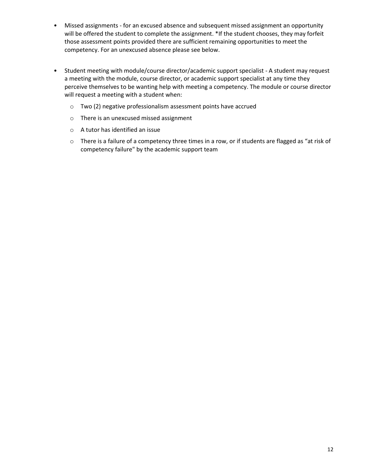- Missed assignments for an excused absence and subsequent missed assignment an opportunity will be offered the student to complete the assignment. \*If the student chooses, they may forfeit those assessment points provided there are sufficient remaining opportunities to meet the competency. For an unexcused absence please see below.
- Student meeting with module/course director/academic support specialist A student may request a meeting with the module, course director, or academic support specialist at any time they perceive themselves to be wanting help with meeting a competency. The module or course director will request a meeting with a student when:
	- o Two (2) negative professionalism assessment points have accrued
	- o There is an unexcused missed assignment
	- o A tutor has identified an issue
	- $\circ$  There is a failure of a competency three times in a row, or if students are flagged as "at risk of competency failure" by the academic support team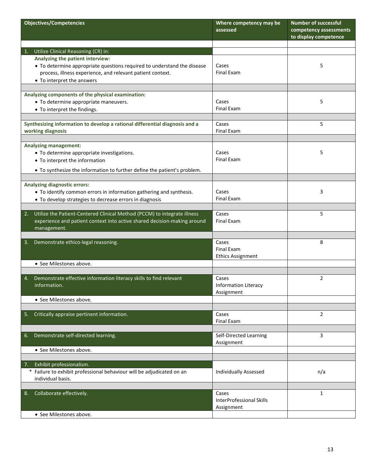| <b>Objectives/Competencies</b>                                                                                                                                                           | Where competency may be<br>assessed                    | <b>Number of successful</b><br>competency assessments<br>to display competence |
|------------------------------------------------------------------------------------------------------------------------------------------------------------------------------------------|--------------------------------------------------------|--------------------------------------------------------------------------------|
|                                                                                                                                                                                          |                                                        |                                                                                |
| Utilize Clinical Reasoning (CR) in:<br>1.<br>Analyzing the patient interview:                                                                                                            |                                                        |                                                                                |
| • To determine appropriate questions required to understand the disease<br>process, illness experience, and relevant patient context.<br>• To interpret the answers                      | Cases<br><b>Final Exam</b>                             | 5                                                                              |
| Analyzing components of the physical examination:                                                                                                                                        |                                                        |                                                                                |
| • To determine appropriate maneuvers.<br>• To interpret the findings.                                                                                                                    | Cases<br><b>Final Exam</b>                             | 5                                                                              |
| Synthesizing information to develop a rational differential diagnosis and a                                                                                                              | Cases                                                  | 5                                                                              |
| working diagnosis                                                                                                                                                                        | Final Exam                                             |                                                                                |
| <b>Analyzing management:</b><br>• To determine appropriate investigations.<br>• To interpret the information<br>• To synthesize the information to further define the patient's problem. | Cases<br><b>Final Exam</b>                             | 5                                                                              |
|                                                                                                                                                                                          |                                                        |                                                                                |
| <b>Analyzing diagnostic errors:</b><br>• To identify common errors in information gathering and synthesis.<br>• To develop strategies to decrease errors in diagnosis                    | Cases<br>Final Exam                                    | 3                                                                              |
| Utilize the Patient-Centered Clinical Method (PCCM) to integrate illness<br>2.<br>experience and patient context into active shared decision-making around<br>management.                | Cases<br><b>Final Exam</b>                             | 5                                                                              |
| Demonstrate ethico-legal reasoning.<br>3.                                                                                                                                                | Cases<br>Final Exam<br><b>Ethics Assignment</b>        | 8                                                                              |
| • See Milestones above.                                                                                                                                                                  |                                                        |                                                                                |
|                                                                                                                                                                                          |                                                        |                                                                                |
| Demonstrate effective information literacy skills to find relevant<br>4.<br>information.                                                                                                 | Cases<br><b>Information Literacy</b><br>Assignment     | $\overline{2}$                                                                 |
| • See Milestones above.                                                                                                                                                                  |                                                        |                                                                                |
| Critically appraise pertinent information.<br>5.                                                                                                                                         | Cases<br>Final Exam                                    | $\overline{2}$                                                                 |
| Demonstrate self-directed learning.<br>6.                                                                                                                                                | Self-Directed Learning<br>Assignment                   | 3                                                                              |
| • See Milestones above.                                                                                                                                                                  |                                                        |                                                                                |
|                                                                                                                                                                                          |                                                        |                                                                                |
| Exhibit professionalism.<br>7.<br>* Failure to exhibit professional behaviour will be adjudicated on an<br>individual basis.                                                             | <b>Individually Assessed</b>                           | n/a                                                                            |
| Collaborate effectively.<br>8.                                                                                                                                                           | Cases<br><b>InterProfessional Skills</b><br>Assignment | $\mathbf{1}$                                                                   |
| • See Milestones above.                                                                                                                                                                  |                                                        |                                                                                |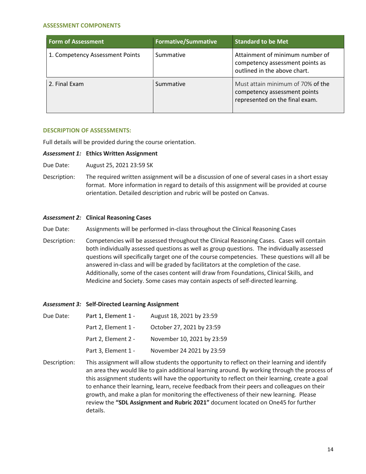#### **ASSESSMENT COMPONENTS**

| Form of Assessment              | <b>Formative/Summative</b> | <b>Standard to be Met</b>                                                                           |
|---------------------------------|----------------------------|-----------------------------------------------------------------------------------------------------|
| 1. Competency Assessment Points | Summative                  | Attainment of minimum number of<br>competency assessment points as<br>outlined in the above chart.  |
| 2. Final Exam                   | Summative                  | Must attain minimum of 70% of the<br>competency assessment points<br>represented on the final exam. |

#### **DESCRIPTION OF ASSESSMENTS:**

Full details will be provided during the course orientation.

#### *Assessment 1:* **Ethics Written Assignment**

- Due Date: August 25, 2021 23:59 SK
- Description: The required written assignment will be a discussion of one of several cases in a short essay format. More information in regard to details of this assignment will be provided at course orientation. Detailed description and rubric will be posted on Canvas.

#### *Assessment 2:* **Clinical Reasoning Cases**

Due Date: Assignments will be performed in-class throughout the Clinical Reasoning Cases

Description: Competencies will be assessed throughout the Clinical Reasoning Cases. Cases will contain both individually assessed questions as well as group questions. The individually assessed questions will specifically target one of the course competencies. These questions will all be answered in-class and will be graded by facilitators at the completion of the case. Additionally, some of the cases content will draw from Foundations, Clinical Skills, and Medicine and Society. Some cases may contain aspects of self-directed learning.

#### *Assessment 3:* **Self-Directed Learning Assignment**

| Due Date: | Part 1, Element 1 - | August 18, 2021 by 23:59   |
|-----------|---------------------|----------------------------|
|           | Part 2, Element 1 - | October 27, 2021 by 23:59  |
|           | Part 2, Element 2 - | November 10, 2021 by 23:59 |
|           | Part 3, Element 1 - | November 24 2021 by 23:59  |

Description: This assignment will allow students the opportunity to reflect on their learning and identify an area they would like to gain additional learning around. By working through the process of this assignment students will have the opportunity to reflect on their learning, create a goal to enhance their learning, learn, receive feedback from their peers and colleagues on their growth, and make a plan for monitoring the effectiveness of their new learning. Please review the **"SDL Assignment and Rubric 2021"** document located on One45 for further details.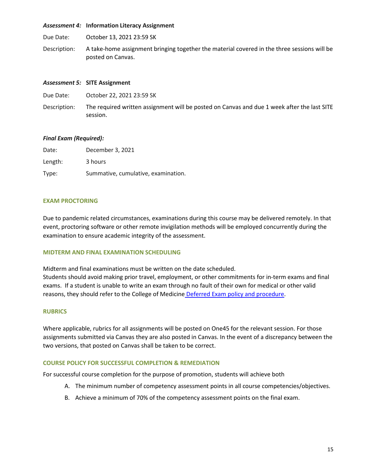#### *Assessment 4:* **Information Literacy Assignment**

Due Date: October 13, 2021 23:59 SK

Description: A take-home assignment bringing together the material covered in the three sessions will be posted on Canvas.

#### *Assessment 5:* **SITE Assignment**

| Due Date: | October 22, 2021 23:59 SK |  |
|-----------|---------------------------|--|
|           |                           |  |

Description: The required written assignment will be posted on Canvas and due 1 week after the last SITE session.

# *Final Exam (Required):*

| Date:   | December 3, 2021                    |
|---------|-------------------------------------|
| Length: | 3 hours                             |
| Type:   | Summative, cumulative, examination. |

#### **EXAM PROCTORING**

Due to pandemic related circumstances, examinations during this course may be delivered remotely. In that event, proctoring software or other remote invigilation methods will be employed concurrently during the examination to ensure academic integrity of the assessment.

#### **MIDTERM AND FINAL EXAMINATION SCHEDULING**

Midterm and final examinations must be written on the date scheduled. Students should avoid making prior travel, employment, or other commitments for in-term exams and final exams. If a student is unable to write an exam through no fault of their own for medical or other valid reasons, they should refer to the College of Medicine [Deferred Exam policy and procedure.](https://medicine.usask.ca/policies/deferred-exams.php)

#### **RUBRICS**

Where applicable, rubrics for all assignments will be posted on One45 for the relevant session. For those assignments submitted via Canvas they are also posted in Canvas. In the event of a discrepancy between the two versions, that posted on Canvas shall be taken to be correct.

#### **COURSE POLICY FOR SUCCESSFUL COMPLETION & REMEDIATION**

For successful course completion for the purpose of promotion, students will achieve both

- A. The minimum number of competency assessment points in all course competencies/objectives.
- B. Achieve a minimum of 70% of the competency assessment points on the final exam.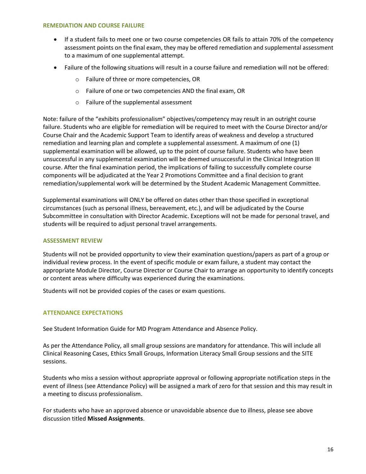#### **REMEDIATION AND COURSE FAILURE**

- If a student fails to meet one or two course competencies OR fails to attain 70% of the competency assessment points on the final exam, they may be offered remediation and supplemental assessment to a maximum of one supplemental attempt.
- Failure of the following situations will result in a course failure and remediation will not be offered:
	- o Failure of three or more competencies, OR
	- o Failure of one or two competencies AND the final exam, OR
	- o Failure of the supplemental assessment

Note: failure of the "exhibits professionalism" objectives/competency may result in an outright course failure. Students who are eligible for remediation will be required to meet with the Course Director and/or Course Chair and the Academic Support Team to identify areas of weakness and develop a structured remediation and learning plan and complete a supplemental assessment. A maximum of one (1) supplemental examination will be allowed, up to the point of course failure. Students who have been unsuccessful in any supplemental examination will be deemed unsuccessful in the Clinical Integration III course. After the final examination period, the implications of failing to successfully complete course components will be adjudicated at the Year 2 Promotions Committee and a final decision to grant remediation/supplemental work will be determined by the Student Academic Management Committee.

Supplemental examinations will ONLY be offered on dates other than those specified in exceptional circumstances (such as personal illness, bereavement, etc.), and will be adjudicated by the Course Subcommittee in consultation with Director Academic. Exceptions will not be made for personal travel, and students will be required to adjust personal travel arrangements.

#### **ASSESSMENT REVIEW**

Students will not be provided opportunity to view their examination questions/papers as part of a group or individual review process. In the event of specific module or exam failure, a student may contact the appropriate Module Director, Course Director or Course Chair to arrange an opportunity to identify concepts or content areas where difficulty was experienced during the examinations.

Students will not be provided copies of the cases or exam questions.

#### **ATTENDANCE EXPECTATIONS**

See Student Information Guide for MD Program Attendance and Absence Policy.

As per the Attendance Policy, all small group sessions are mandatory for attendance. This will include all Clinical Reasoning Cases, Ethics Small Groups, Information Literacy Small Group sessions and the SITE sessions.

Students who miss a session without appropriate approval or following appropriate notification steps in the event of illness (see Attendance Policy) will be assigned a mark of zero for that session and this may result in a meeting to discuss professionalism.

For students who have an approved absence or unavoidable absence due to illness, please see above discussion titled **Missed Assignments**.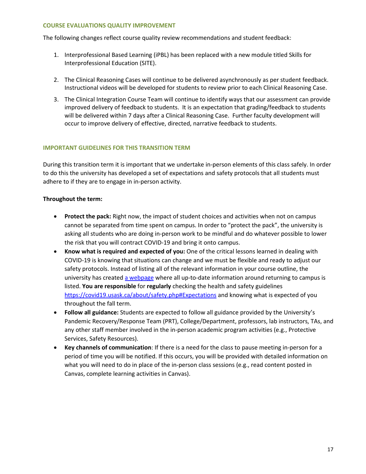#### **COURSE EVALUATIONS QUALITY IMPROVEMENT**

The following changes reflect course quality review recommendations and student feedback:

- 1. Interprofessional Based Learning (iPBL) has been replaced with a new module titled Skills for Interprofessional Education (SITE).
- 2. The Clinical Reasoning Cases will continue to be delivered asynchronously as per student feedback. Instructional videos will be developed for students to review prior to each Clinical Reasoning Case.
- 3. The Clinical Integration Course Team will continue to identify ways that our assessment can provide improved delivery of feedback to students. It is an expectation that grading/feedback to students will be delivered within 7 days after a Clinical Reasoning Case. Further faculty development will occur to improve delivery of effective, directed, narrative feedback to students.

# **IMPORTANT GUIDELINES FOR THIS TRANSITION TERM**

During this transition term it is important that we undertake in-person elements of this class safely. In order to do this the university has developed a set of expectations and safety protocols that all students must adhere to if they are to engage in in-person activity.

# **Throughout the term:**

- **Protect the pack:** Right now, the impact of student choices and activities when not on campus cannot be separated from time spent on campus. In order to "protect the pack", the university is asking all students who are doing in-person work to be mindful and do whatever possible to lower the risk that you will contract COVID-19 and bring it onto campus.
- **Know what is required and expected of you:** One of the critical lessons learned in dealing with COVID-19 is knowing that situations can change and we must be flexible and ready to adjust our safety protocols. Instead of listing all of the relevant information in your course outline, the university has created [a webpage w](https://covid19.usask.ca/students.php#Oncampusessentials)here all up-to-date information around returning to campus is listed. **You are responsible** for **regularly** checking the health and safety guidelines <https://covid19.usask.ca/about/safety.php#Expectations>and knowing what is expected of you throughout the fall term.
- **Follow all guidance:** Students are expected to follow all guidance provided by the University's Pandemic Recovery/Response Team (PRT), College/Department, professors, lab instructors, TAs, and any other staff member involved in the in-person academic program activities (e.g., Protective Services, Safety Resources).
- **Key channels of communication**: If there is a need for the class to pause meeting in-person for a period of time you will be notified. If this occurs, you will be provided with detailed information on what you will need to do in place of the in-person class sessions (e.g., read content posted in Canvas, complete learning activities in Canvas).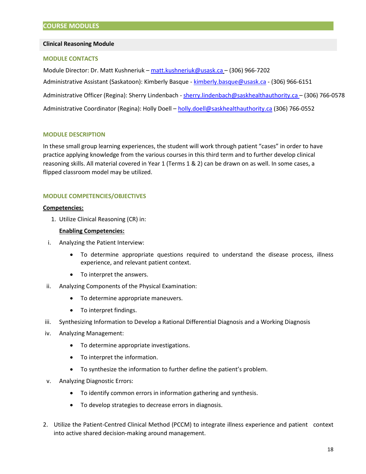#### **Clinical Reasoning Module**

#### **MODULE CONTACTS**

Module Director: Dr. Matt Kushneriuk [– matt.kushneriuk@usask.ca](mailto:matt.kushneriuk@usask.ca) – (306) 966-7202 Administrative Assistant (Saskatoon): Kimberly Basque - [kimberly.basque@usask.ca -](mailto:kimberly.basque@usask.ca) (306) 966-6151 Administrative Officer (Regina): Sherry Lindenbach - sherry.lindenbach@saskhealthauthority.ca - (306) 766-0578 Administrative Coordinator (Regina): Holly Doell – [holly.doell@saskhealthauthority.ca](mailto:holly.doell@saskhealthauthority.ca) (306) 766-0552

#### **MODULE DESCRIPTION**

In these small group learning experiences, the student will work through patient "cases" in order to have practice applying knowledge from the various courses in this third term and to further develop clinical reasoning skills. All material covered in Year 1 (Terms 1 & 2) can be drawn on as well. In some cases, a flipped classroom model may be utilized.

# **MODULE COMPETENCIES/OBJECTIVES**

#### **Competencies:**

1. Utilize Clinical Reasoning (CR) in:

#### **Enabling Competencies:**

- i. Analyzing the Patient Interview:
	- To determine appropriate questions required to understand the disease process, illness experience, and relevant patient context.
	- To interpret the answers.
- ii. Analyzing Components of the Physical Examination:
	- To determine appropriate maneuvers.
	- To interpret findings.
- iii. Synthesizing Information to Develop a Rational Differential Diagnosis and a Working Diagnosis
- iv. Analyzing Management:
	- To determine appropriate investigations.
	- To interpret the information.
	- To synthesize the information to further define the patient's problem.
- v. Analyzing Diagnostic Errors:
	- To identify common errors in information gathering and synthesis.
	- To develop strategies to decrease errors in diagnosis.
- 2. Utilize the Patient-Centred Clinical Method (PCCM) to integrate illness experience and patient context into active shared decision-making around management.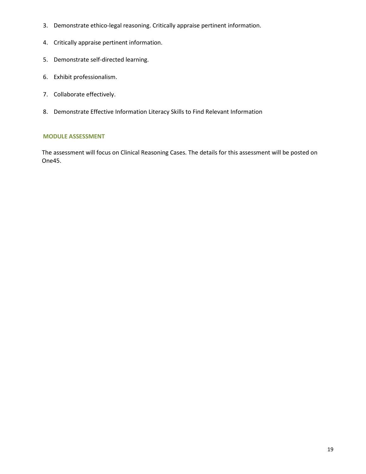- 3. Demonstrate ethico-legal reasoning. Critically appraise pertinent information.
- 4. Critically appraise pertinent information.
- 5. Demonstrate self-directed learning.
- 6. Exhibit professionalism.
- 7. Collaborate effectively.
- 8. Demonstrate Effective Information Literacy Skills to Find Relevant Information

# **MODULE ASSESSMENT**

The assessment will focus on Clinical Reasoning Cases. The details for this assessment will be posted on One45.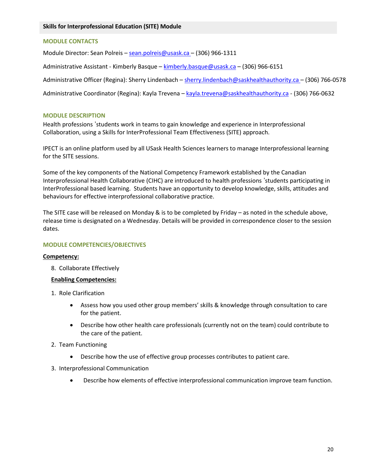# **MODULE CONTACTS**

Module Director: Sean Polreis – [sean.polreis@usask.ca –](mailto:sean.polreis@usask.ca) (306) 966-1311

Administrative Assistant - Kimberly Basque [– kimberly.basque@usask.ca](mailto:kimberly.basque@usask.ca) – (306) 966-6151

Administrative Officer (Regina): Sherry Lindenbach [– sherry.lindenbach@saskhealthauthority.ca –](mailto:sherry.lindenbach@saskhealthauthority.ca) (306) 766-0578

Administrative Coordinator (Regina): Kayla Trevena [– kayla.trevena@saskhealthauthority.ca](mailto:kayla.trevena@saskhealthauthority.ca) - (306) 766-0632

#### **MODULE DESCRIPTION**

Health professions 'students work in teams to gain knowledge and experience in Interprofessional Collaboration, using a Skills for InterProfessional Team Effectiveness (SITE) approach.

IPECT is an online platform used by all USask Health Sciences learners to manage Interprofessional learning for the SITE sessions.

Some of the key components of the National Competency Framework established by the Canadian Interprofessional Health Collaborative (CIHC) are introduced to health professions 'students participating in InterProfessional based learning. Students have an opportunity to develop knowledge, skills, attitudes and behaviours for effective interprofessional collaborative practice.

The SITE case will be released on Monday & is to be completed by Friday – as noted in the schedule above, release time is designated on a Wednesday. Details will be provided in correspondence closer to the session dates.

# **MODULE COMPETENCIES/OBJECTIVES**

#### **Competency:**

8. Collaborate Effectively

#### **Enabling Competencies:**

- 1. Role Clarification
	- Assess how you used other group members' skills & knowledge through consultation to care for the patient.
	- Describe how other health care professionals (currently not on the team) could contribute to the care of the patient.
- 2. Team Functioning
	- Describe how the use of effective group processes contributes to patient care.
- 3. Interprofessional Communication
	- Describe how elements of effective interprofessional communication improve team function.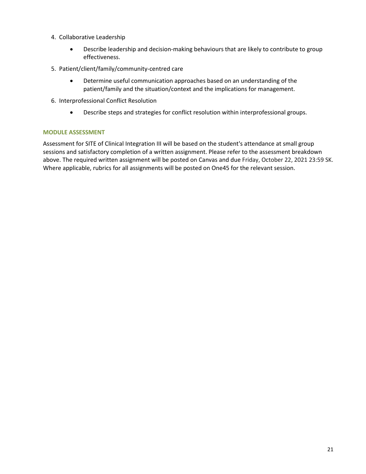- 4. Collaborative Leadership
	- Describe leadership and decision-making behaviours that are likely to contribute to group effectiveness.
- 5. Patient/client/family/community-centred care
	- Determine useful communication approaches based on an understanding of the patient/family and the situation/context and the implications for management.
- 6. Interprofessional Conflict Resolution
	- Describe steps and strategies for conflict resolution within interprofessional groups.

# **MODULE ASSESSMENT**

Assessment for SITE of Clinical Integration III will be based on the student's attendance at small group sessions and satisfactory completion of a written assignment. Please refer to the assessment breakdown above. The required written assignment will be posted on Canvas and due Friday, October 22, 2021 23:59 SK. Where applicable, rubrics for all assignments will be posted on One45 for the relevant session.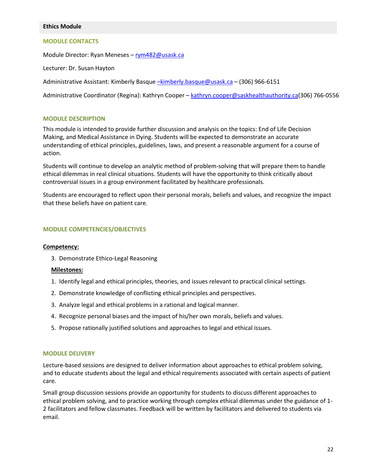#### **Ethics Module**

#### **MODULE CONTACTS**

Module Director: Ryan Meneses [– rym482@usask.ca](mailto:rym482@usask.ca) 

Lecturer: Dr. Susan Hayton

Administrative Assistant: Kimberly Basque - kimberly.basque@usask.ca - (306) 966-6151

Administrative Coordinator (Regina): Kathryn Cooper - [kathryn.cooper@saskhealthauthority.ca\(](mailto:kathryn.cooper@saskhealthauthority.ca)306) 766-0556

#### **MODULE DESCRIPTION**

This module is intended to provide further discussion and analysis on the topics: End of Life Decision Making, and Medical Assistance in Dying. Students will be expected to demonstrate an accurate understanding of ethical principles, guidelines, laws, and present a reasonable argument for a course of action.

Students will continue to develop an analytic method of problem-solving that will prepare them to handle ethical dilemmas in real clinical situations. Students will have the opportunity to think critically about controversial issues in a group environment facilitated by healthcare professionals.

Students are encouraged to reflect upon their personal morals, beliefs and values, and recognize the impact that these beliefs have on patient care.

#### **MODULE COMPETENCIES/OBJECTIVES**

#### **Competency:**

3. Demonstrate Ethico-Legal Reasoning

#### **Milestones:**

- 1. Identify legal and ethical principles, theories, and issues relevant to practical clinical settings.
- 2. Demonstrate knowledge of conflicting ethical principles and perspectives.
- 3. Analyze legal and ethical problems in a rational and logical manner.
- 4. Recognize personal biases and the impact of his/her own morals, beliefs and values.
- 5. Propose rationally justified solutions and approaches to legal and ethical issues.

#### **MODULE DELIVERY**

Lecture-based sessions are designed to deliver information about approaches to ethical problem solving, and to educate students about the legal and ethical requirements associated with certain aspects of patient care.

Small group discussion sessions provide an opportunity for students to discuss different approaches to ethical problem solving, and to practice working through complex ethical dilemmas under the guidance of 1- 2 facilitators and fellow classmates. Feedback will be written by facilitators and delivered to students via email.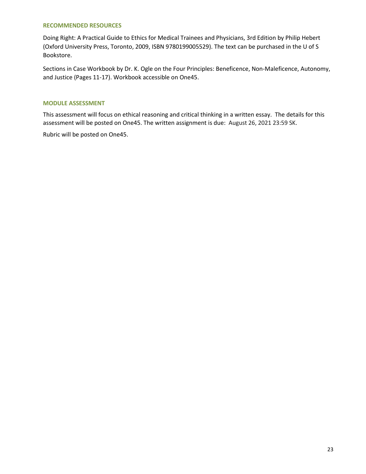#### **RECOMMENDED RESOURCES**

Doing Right: A Practical Guide to Ethics for Medical Trainees and Physicians, 3rd Edition by Philip Hebert (Oxford University Press, Toronto, 2009, ISBN 9780199005529). The text can be purchased in the U of S Bookstore.

Sections in Case Workbook by Dr. K. Ogle on the Four Principles: Beneficence, Non-Maleficence, Autonomy, and Justice (Pages 11-17). Workbook accessible on One45.

#### **MODULE ASSESSMENT**

This assessment will focus on ethical reasoning and critical thinking in a written essay. The details for this assessment will be posted on One45. The written assignment is due: August 26, 2021 23:59 SK.

Rubric will be posted on One45.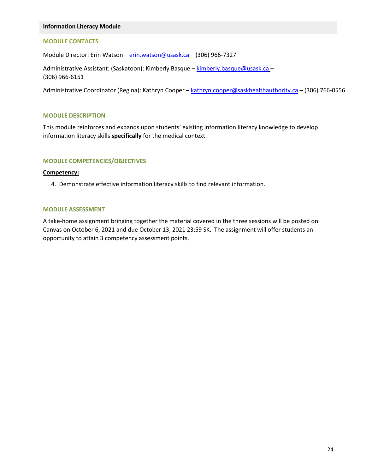#### **Information Literacy Module**

# **MODULE CONTACTS**

Module Director: Erin Watson – [erin.watson@usask.ca](mailto:megan.kennedy@usask.ca) – (306) 966-7327

Administrative Assistant: (Saskatoon): Kimberly Basque – [kimberly.basque@usask.ca](mailto:kimberly.basque@usask.ca) – (306) 966-6151

Administrative Coordinator (Regina): Kathryn Cooper - [kathryn.cooper@saskhealthauthority.ca](mailto:kathryn.cooper@saskhealthauthority.ca) - (306) 766-0556

#### **MODULE DESCRIPTION**

This module reinforces and expands upon students' existing information literacy knowledge to develop information literacy skills **specifically** for the medical context.

#### **MODULE COMPETENCIES/OBJECTIVES**

#### **Competency:**

4. Demonstrate effective information literacy skills to find relevant information.

#### **MODULE ASSESSMENT**

A take-home assignment bringing together the material covered in the three sessions will be posted on Canvas on October 6, 2021 and due October 13, 2021 23:59 SK. The assignment will offer students an opportunity to attain 3 competency assessment points.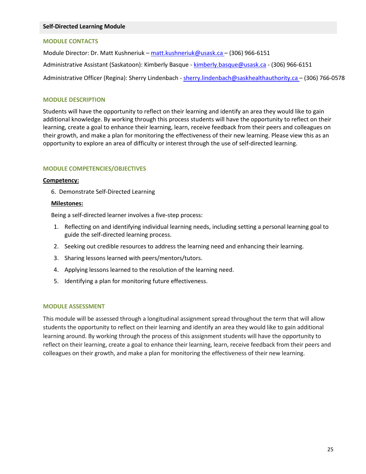#### **Self-Directed Learning Module**

# **MODULE CONTACTS**

Module Director: Dr. Matt Kushneriuk [– matt.kushneriuk@usask.ca](mailto:matt.kushneriuk@usask.ca) – (306) 966-6151

Administrative Assistant (Saskatoon): Kimberly Basque - [kimberly.basque@usask.ca -](mailto:kimberly.basque@usask.ca) (306) 966-6151

Administrative Officer (Regina): Sherry Lindenbach - sherry.lindenbach@saskhealthauthority.ca - (306) 766-0578

#### **MODULE DESCRIPTION**

Students will have the opportunity to reflect on their learning and identify an area they would like to gain additional knowledge. By working through this process students will have the opportunity to reflect on their learning, create a goal to enhance their learning, learn, receive feedback from their peers and colleagues on their growth, and make a plan for monitoring the effectiveness of their new learning. Please view this as an opportunity to explore an area of difficulty or interest through the use of self-directed learning.

#### **MODULE COMPETENCIES/OBJECTIVES**

#### **Competency:**

6. Demonstrate Self-Directed Learning

#### **Milestones:**

Being a self-directed learner involves a five-step process:

- 1. Reflecting on and identifying individual learning needs, including setting a personal learning goal to guide the self-directed learning process.
- 2. Seeking out credible resources to address the learning need and enhancing their learning.
- 3. Sharing lessons learned with peers/mentors/tutors.
- 4. Applying lessons learned to the resolution of the learning need.
- 5. Identifying a plan for monitoring future effectiveness.

#### **MODULE ASSESSMENT**

This module will be assessed through a longitudinal assignment spread throughout the term that will allow students the opportunity to reflect on their learning and identify an area they would like to gain additional learning around. By working through the process of this assignment students will have the opportunity to reflect on their learning, create a goal to enhance their learning, learn, receive feedback from their peers and colleagues on their growth, and make a plan for monitoring the effectiveness of their new learning.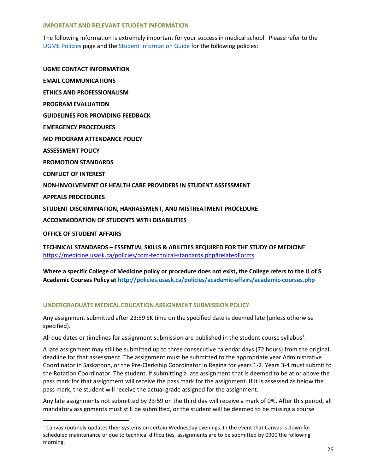#### **IMPORTANT AND RELEVANT STUDENT INFORMATION**

The following information is extremely important for your success in medical school. Please refer to the [UGME Policies](http://medicine.usask.ca/students/undergraduate/policies.php) page and the [Student Information Guide](http://medicine.usask.ca/students/undergraduate/curriculum-schedules-objectives.php#Aboriginalhealthinthecurriculum) for the following policies:

**UGME CONTACT INFORMATION EMAIL COMMUNICATIONS ETHICS AND PROFESSIONALISM PROGRAM EVALUATION GUIDELINES FOR PROVIDING FEEDBACK\ EMERGENCY PROCEDURES MD PROGRAM ATTENDANCE POLICY ASSESSMENT POLICY PROMOTION STANDARDS CONFLICT OF INTEREST NON-INVOLVEMENT OF HEALTH CARE PROVIDERS IN STUDENT ASSESSMENT APPEALS PROCEDURES STUDENT DISCRIMINATION, HARRASSMENT, AND MISTREATMENT PROCEDURE ACCOMMODATION OF STUDENTS WITH DISABILITIES OFFICE OF STUDENT AFFAIRS**

**TECHNICAL STANDARDS – ESSENTIAL SKILLS & ABILITIES REQUIRED FOR THE STUDY OF MEDICINE**  <https://medicine.usask.ca/policies/com-technical-standards.php#relatedForms>

**Where a specific College of Medicine policy or procedure does not exist, the College refers to the U of S Academic Courses Policy at<http://policies.usask.ca/policies/academic-affairs/academic-courses.php>**

# **UNDERGRADUATE MEDICAL EDUCATION ASSIGNMENT SUBMISSION POLICY**

 $\overline{a}$ 

Any assignment submitted after 23:59 SK time on the specified date is deemed late (unless otherwise specified).

All due dates or timelines for assignment submission are published in the student course syllabus<sup>1</sup>.

A late assignment may still be submitted up to three consecutive calendar days (72 hours) from the original deadline for that assessment. The assignment must be submitted to the appropriate year Administrative Coordinator in Saskatoon, or the Pre-Clerkship Coordinator in Regina for years 1-2. Years 3-4 must submit to the Rotation Coordinator. The student, if submitting a late assignment that is deemed to be at or above the pass mark for that assignment will receive the pass mark for the assignment. If it is assessed as below the pass mark, the student will receive the actual grade assigned for the assignment.

Any late assignments not submitted by 23:59 on the third day will receive a mark of 0%. After this period, all mandatory assignments must still be submitted, or the student will be deemed to be missing a course

<sup>&</sup>lt;sup>1</sup> Canvas routinely updates their systems on certain Wednesday evenings. In the event that Canvas is down for scheduled maintenance or due to technical difficulties, assignments are to be submitted by 0900 the following morning.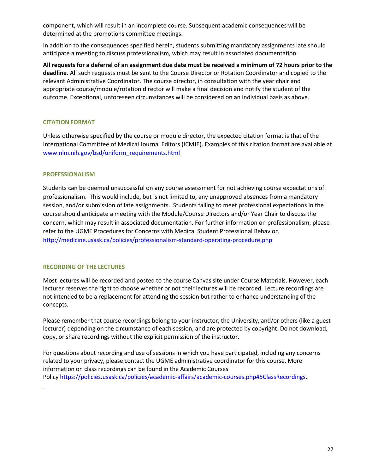component, which will result in an incomplete course. Subsequent academic consequences will be determined at the promotions committee meetings.

In addition to the consequences specified herein, students submitting mandatory assignments late should anticipate a meeting to discuss professionalism, which may result in associated documentation.

**All requests for a deferral of an assignment due date must be received a minimum of 72 hours prior to the deadline.** All such requests must be sent to the Course Director or Rotation Coordinator and copied to the relevant Administrative Coordinator. The course director, in consultation with the year chair and appropriate course/module/rotation director will make a final decision and notify the student of the outcome. Exceptional, unforeseen circumstances will be considered on an individual basis as above.

# **CITATION FORMAT**

Unless otherwise specified by the course or module director, the expected citation format is that of the International Committee of Medical Journal Editors (ICMJE). Examples of this citation format are available at [www.nlm.nih.gov/bsd/uniform\\_requirements.html](http://www.nlm.nih.gov/bsd/uniform_requirements.html)

# **PROFESSIONALISM**

Students can be deemed unsuccessful on any course assessment for not achieving course expectations of professionalism. This would include, but is not limited to, any unapproved absences from a mandatory session, and/or submission of late assignments. Students failing to meet professional expectations in the course should anticipate a meeting with the Module/Course Directors and/or Year Chair to discuss the concern, which may result in associated documentation. For further information on professionalism, please refer to the UGME Procedures for Concerns with Medical Student Professional Behavior. <http://medicine.usask.ca/policies/professionalism-standard-operating-procedure.php>

# **RECORDING OF THE LECTURES**

L

Most lectures will be recorded and posted to the course Canvas site under Course Materials. However, each lecturer reserves the right to choose whether or not their lectures will be recorded. Lecture recordings are not intended to be a replacement for attending the session but rather to enhance understanding of the concepts.

Please remember that course recordings belong to your instructor, the University, and/or others (like a guest lecturer) depending on the circumstance of each session, and are protected by copyright. Do not download, copy, or share recordings without the explicit permission of the instructor.

For questions about recording and use of sessions in which you have participated, including any concerns related to your privacy, please contact the UGME administrative coordinator for this course. More information on class recordings can be found in the Academic Courses Policy [https://policies.usask.ca/policies/academic-affairs/academic-courses.php#5ClassRecordings.](https://policies.usask.ca/policies/academic-affairs/academic-courses.php#5ClassRecordings)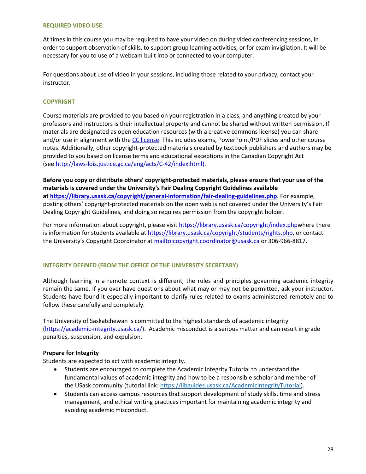#### **REQUIRED VIDEO USE:**

At times in this course you may be required to have your video on during video conferencing sessions, in order to support observation of skills, to support group learning activities, or for exam invigilation. It will be necessary for you to use of a webcam built into or connected to your computer.

For questions about use of video in your sessions, including those related to your privacy, contact your instructor.

# **COPYRIGHT**

Course materials are provided to you based on your registration in a class, and anything created by your professors and instructors is their intellectual property and cannot be shared without written permission. If materials are designated as open education resources (with a creative commons license) you can share and/or use in alignment with the [CC license.](https://openpress.usask.ca/authoring/chapter/creative-commons-licenses/) This includes exams, PowerPoint/PDF slides and other course notes. Additionally, other copyright-protected materials created by textbook publishers and authors may be provided to you based on license terms and educational exceptions in the Canadian Copyright Act (see [http://laws-lois.justice.gc.ca/eng/acts/C-42/index.html\).](http://laws-lois.justice.gc.ca/eng/acts/C-42/index.html)

**Before you copy or distribute others' copyright-protected materials, please ensure that your use of the materials is covered under the University's Fair Dealing Copyright Guidelines available a[t https://library.usask.ca/copyright/general-information/fair-dealing-guidelines.php](https://library.usask.ca/copyright/general-information/fair-dealing-guidelines.php)**. For example, posting others' copyright-protected materials on the open web is not covered under the University's Fair Dealing Copyright Guidelines, and doing so requires permission from the copyright holder.

For more information about copyright, please visit [https://library.usask.ca/copyright/index.phpw](https://library.usask.ca/copyright/index.php)here there is information for students available at [https://library.usask.ca/copyright/students/rights.php,](https://library.usask.ca/copyright/students/rights.php) or contact the University's Copyright Coordinator at [mailto:copyright.coordinator@usask.ca o](mailto:copyright.coordinator@usask.ca)r 306-966-8817.

#### **INTEGRITY DEFINED (FROM THE OFFICE OF THE UNIVERSITY SECRETARY)**

Although learning in a remote context is different, the rules and principles governing academic integrity remain the same. If you ever have questions about what may or may not be permitted, ask your instructor. Students have found it especially important to clarify rules related to exams administered remotely and to follow these carefully and completely.

The University of Saskatchewan is committed to the highest standards of academic integrity [\(https://academic-integrity.usask.ca/\)](https://academic-integrity.usask.ca/). Academic misconduct is a serious matter and can result in grade penalties, suspension, and expulsion.

#### **Prepare for Integrity**

Students are expected to act with academic integrity.

- Students are encouraged to complete the Academic Integrity Tutorial to understand the fundamental values of academic integrity and how to be a responsible scholar and member of the USask community (tutorial link: [https://libguides.usask.ca/AcademicIntegrityTutorial\)](https://libguides.usask.ca/AcademicIntegrityTutorial).
- Students can access campus resources that support development of study skills, time and stress management, and ethical writing practices important for maintaining academic integrity and avoiding academic misconduct.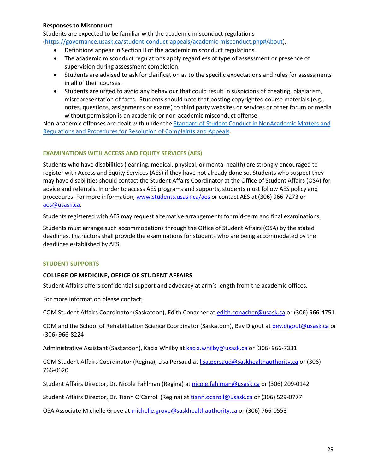#### **Responses to Misconduct**

Students are expected to be familiar with the academic misconduct regulations [\(https://governance.usask.ca/student-conduct-appeals/academic-misconduct.php#About\)](https://governance.usask.ca/student-conduct-appeals/academic-misconduct.php#About).

- Definitions appear in Section II of the academic misconduct regulations.
- The academic misconduct regulations apply regardless of type of assessment or presence of supervision during assessment completion.
- Students are advised to ask for clarification as to the specific expectations and rules for assessments in all of their courses.
- Students are urged to avoid any behaviour that could result in suspicions of cheating, plagiarism, misrepresentation of facts. Students should note that posting copyrighted course materials (e.g., notes, questions, assignments or exams) to third party websites or services or other forum or media without permission is an academic or non-academic misconduct offense.

Non-academic offenses are dealt with under the [Standard of Student Conduct in NonAcademic Matters and](https://governance.usask.ca/student-conduct-appeals/non-academic-misconduct.php)  [Regulations and Procedures for Resolution of Complaints and Appeals.](https://governance.usask.ca/student-conduct-appeals/non-academic-misconduct.php)

#### **EXAMINATIONS WITH ACCESS AND EQUITY SERVICES (AES)**

Students who have disabilities (learning, medical, physical, or mental health) are strongly encouraged to register with Access and Equity Services (AES) if they have not already done so. Students who suspect they may have disabilities should contact the Student Affairs Coordinator at the Office of Student Affairs (OSA) for advice and referrals. In order to access AES programs and supports, students must follow AES policy and procedures. For more information, [www.students.usask.ca/aes o](http://www.students.usask.ca/aes)r contact AES at (306) 966-7273 or [aes@usask.ca.](mailto:aes@usask.ca)

Students registered with AES may request alternative arrangements for mid-term and final examinations.

Students must arrange such accommodations through the Office of Student Affairs (OSA) by the stated deadlines. Instructors shall provide the examinations for students who are being accommodated by the deadlines established by AES.

#### **STUDENT SUPPORTS**

#### **COLLEGE OF MEDICINE, OFFICE OF STUDENT AFFAIRS**

Student Affairs offers confidential support and advocacy at arm's length from the academic offices.

For more information please contact:

COM Student Affairs Coordinator (Saskatoon), Edith Conacher a[t edith.conacher@usask.ca](mailto:edith.conacher@usask.ca) or (306) 966-4751

COM and the School of Rehabilitation Science Coordinator (Saskatoon), Bev Digout a[t bev.digout@usask.ca o](mailto:bev.digout@usask.ca)r (306) 966-8224

Administrative Assistant (Saskatoon), Kacia Whilby at [kacia.whilby@usask.ca](mailto:kacia.whilby@usask.ca) or (306) 966-7331

COM Student Affairs Coordinator (Regina), Lisa Persaud at [lisa.persaud@saskhealthauthority,ca](mailto:lisa.persaud@saskhealthauthority,ca) or (306) 766-0620

Student Affairs Director, Dr. Nicole Fahlman (Regina) at [nicole.fahlman@usask.ca](mailto:nicole.fahlman@usask.ca) or (306) 209-0142

Student Affairs Director, Dr. Tiann O'Carroll (Regina) at [tiann.ocaroll@usask.ca](mailto:tiann.ocaroll@usask.ca) or (306) 529-0777

OSA Associate Michelle Grove at michelle.grove@saskhealthauthority.ca or (306) 766-0553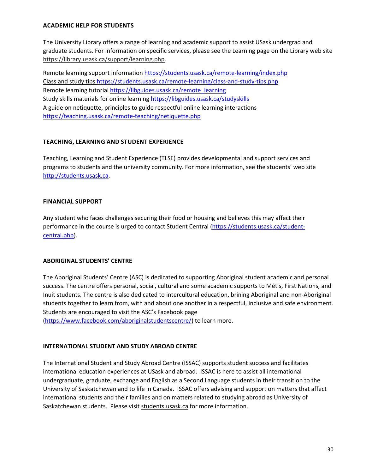# **ACADEMIC HELP FOR STUDENTS**

The University Library offers a range of learning and academic support to assist USask undergrad and graduate students. For information on specific services, please see the Learning page on the Library web site [https://library.usask.ca/support/learning.php.](https://library.usask.ca/support/learning.php)

Remote learning support informatio[n https://students.usask.ca/remote-learning/index.php](https://students.usask.ca/remote-learning/index.php) Class and study tips<https://students.usask.ca/remote-learning/class-and-study-tips.php> Remote learning tutorial [https://libguides.usask.ca/remote\\_learning](https://libguides.usask.ca/remote_learning) Study skills materials for online learning https://libguides.usask.ca/studyskills A guide on netiquette, principles to guide respectful online learning interactions <https://teaching.usask.ca/remote-teaching/netiquette.php>

# **TEACHING, LEARNING AND STUDENT EXPERIENCE**

Teaching, Learning and Student Experience (TLSE) provides developmental and support services and programs to students and the university community. For more information, see the students' web site [http://students.usask.ca.](http://students.usask.ca/)

# **FINANCIAL SUPPORT**

Any student who faces challenges securing their food or housing and believes this may affect their performance in the course is urged to contact Student Central [\(https://students.usask.ca/student](https://students.usask.ca/student-central.php)[central.php\)](https://students.usask.ca/student-central.php).

# **ABORIGINAL STUDENTS' CENTRE**

The Aboriginal Students' Centre (ASC) is dedicated to supporting Aboriginal student academic and personal success. The centre offers personal, social, cultural and some academic supports to Métis, First Nations, and Inuit students. The centre is also dedicated to intercultural education, brining Aboriginal and non-Aboriginal students together to learn from, with and about one another in a respectful, inclusive and safe environment. Students are encouraged to visit the ASC's Facebook page

[\(https://www.facebook.com/aboriginalstudentscentre/\)](https://www.facebook.com/aboriginalstudentscentre/) to learn more.

# **INTERNATIONAL STUDENT AND STUDY ABROAD CENTRE**

The International Student and Study Abroad Centre (ISSAC) supports student success and facilitates international education experiences at USask and abroad. ISSAC is here to assist all international undergraduate, graduate, exchange and English as a Second Language students in their transition to the University of Saskatchewan and to life in Canada. ISSAC offers advising and support on matters that affect international students and their families and on matters related to studying abroad as University of Saskatchewan students. Please visit [students.usask.ca](http://students.usask.ca/) for more information.